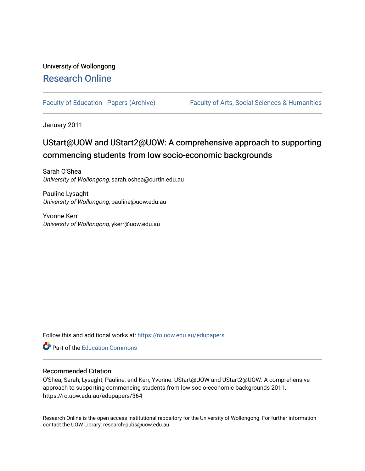# University of Wollongong [Research Online](https://ro.uow.edu.au/)

[Faculty of Education - Papers \(Archive\)](https://ro.uow.edu.au/edupapers) Faculty of Arts, Social Sciences & Humanities

January 2011

# UStart@UOW and UStart2@UOW: A comprehensive approach to supporting commencing students from low socio-economic backgrounds

Sarah O'Shea University of Wollongong, sarah.oshea@curtin.edu.au

Pauline Lysaght University of Wollongong, pauline@uow.edu.au

Yvonne Kerr University of Wollongong, ykerr@uow.edu.au

Follow this and additional works at: [https://ro.uow.edu.au/edupapers](https://ro.uow.edu.au/edupapers?utm_source=ro.uow.edu.au%2Fedupapers%2F364&utm_medium=PDF&utm_campaign=PDFCoverPages) 

**C** Part of the [Education Commons](http://network.bepress.com/hgg/discipline/784?utm_source=ro.uow.edu.au%2Fedupapers%2F364&utm_medium=PDF&utm_campaign=PDFCoverPages)

#### Recommended Citation

O'Shea, Sarah; Lysaght, Pauline; and Kerr, Yvonne: UStart@UOW and UStart2@UOW: A comprehensive approach to supporting commencing students from low socio-economic backgrounds 2011. https://ro.uow.edu.au/edupapers/364

Research Online is the open access institutional repository for the University of Wollongong. For further information contact the UOW Library: research-pubs@uow.edu.au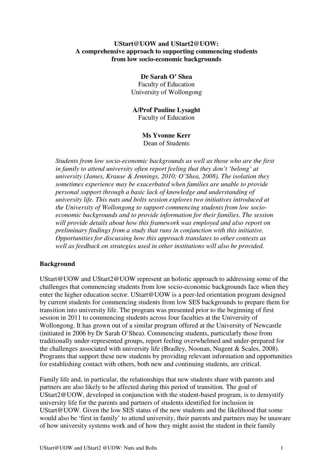### **UStart@UOW and UStart2@UOW: A comprehensive approach to supporting commencing students from low socio-economic backgrounds**

# **Dr Sarah O' Shea**  Faculty of Education University of Wollongong

#### **A/Prof Pauline Lysaght**  Faculty of Education

#### **Ms Yvonne Kerr**  Dean of Students

*Students from low socio-economic backgrounds as well as those who are the first in family to attend university often report feeling that they don't 'belong' at university (James, Krause & Jennings, 2010; O'Shea, 2008). The isolation they sometimes experience may be exacerbated when families are unable to provide personal support through a basic lack of knowledge and understanding of university life. This nuts and bolts session explores two initiatives introduced at the University of Wollongong to support commencing students from low socioeconomic backgrounds and to provide information for their families. The session will provide details about how this framework was employed and also report on preliminary findings from a study that runs in conjunction with this initiative. Opportunities for discussing how this approach translates to other contexts as well as feedback on strategies used in other institutions will also be provided.* 

# **Background**

UStart@UOW and UStart2@UOW represent an holistic approach to addressing some of the challenges that commencing students from low socio-economic backgrounds face when they enter the higher education sector. UStart@UOW is a peer-led orientation program designed by current students for commencing students from low SES backgrounds to prepare them for transition into university life. The program was presented prior to the beginning of first session in 2011 to commencing students across four faculties at the University of Wollongong. It has grown out of a similar program offered at the University of Newcastle (initiated in 2006 by Dr Sarah O'Shea). Commencing students, particularly those from traditionally under-represented groups, report feeling overwhelmed and under-prepared for the challenges associated with university life (Bradley, Noonan, Nugent & Scales, 2008). Programs that support these new students by providing relevant information and opportunities for establishing contact with others, both new and continuing students, are critical.

Family life and, in particular, the relationships that new students share with parents and partners are also likely to be affected during this period of transition. The goal of UStart2@UOW, developed in conjunction with the student-based program, is to demystify university life for the parents and partners of students identified for inclusion in UStart@UOW. Given the low SES status of the new students and the likelihood that some would also be 'first in family' to attend university, their parents and partners may be unaware of how university systems work and of how they might assist the student in their family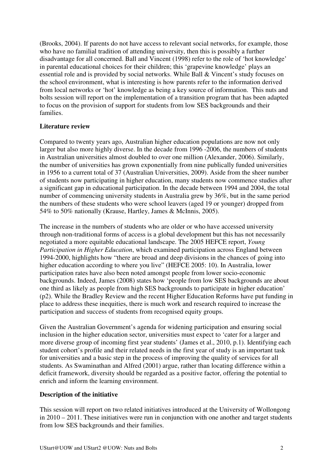(Brooks, 2004). If parents do not have access to relevant social networks, for example, those who have no familial tradition of attending university, then this is possibly a further disadvantage for all concerned. Ball and Vincent (1998) refer to the role of 'hot knowledge' in parental educational choices for their children; this 'grapevine knowledge' plays an essential role and is provided by social networks. While Ball & Vincent's study focuses on the school environment, what is interesting is how parents refer to the information derived from local networks or 'hot' knowledge as being a key source of information. This nuts and bolts session will report on the implementation of a transition program that has been adapted to focus on the provision of support for students from low SES backgrounds and their families.

# **Literature review**

Compared to twenty years ago, Australian higher education populations are now not only larger but also more highly diverse. In the decade from 1996 -2006, the numbers of students in Australian universities almost doubled to over one million (Alexander, 2006). Similarly, the number of universities has grown exponentially from nine publically funded universities in 1956 to a current total of 37 (Australian Universities, 2009). Aside from the sheer number of students now participating in higher education, many students now commence studies after a significant gap in educational participation. In the decade between 1994 and 2004, the total number of commencing university students in Australia grew by 36%, but in the same period the numbers of these students who were school leavers (aged 19 or younger) dropped from 54% to 50% nationally (Krause, Hartley, James & McInnis, 2005).

The increase in the numbers of students who are older or who have accessed university through non-traditional forms of access is a global development but this has not necessarily negotiated a more equitable educational landscape. The 2005 HEFCE report, *Young Participation in Higher Education*, which examined participation across England between 1994-2000, highlights how "there are broad and deep divisions in the chances of going into higher education according to where you live" (HEFCE 2005: 10). In Australia, lower participation rates have also been noted amongst people from lower socio-economic backgrounds. Indeed, James (2008) states how 'people from low SES backgrounds are about one third as likely as people from high SES backgrounds to participate in higher education' (p2). While the Bradley Review and the recent Higher Education Reforms have put funding in place to address these inequities, there is much work and research required to increase the participation and success of students from recognised equity groups.

Given the Australian Government's agenda for widening participation and ensuring social inclusion in the higher education sector, universities must expect to 'cater for a larger and more diverse group of incoming first year students' (James et al., 2010, p.1). Identifying each student cohort's profile and their related needs in the first year of study is an important task for universities and a basic step in the process of improving the quality of services for all students. As Swaminathan and Alfred (2001) argue, rather than locating difference within a deficit framework, diversity should be regarded as a positive factor, offering the potential to enrich and inform the learning environment.

# **Description of the initiative**

This session will report on two related initiatives introduced at the University of Wollongong in 2010 – 2011. These initiatives were run in conjunction with one another and target students from low SES backgrounds and their families.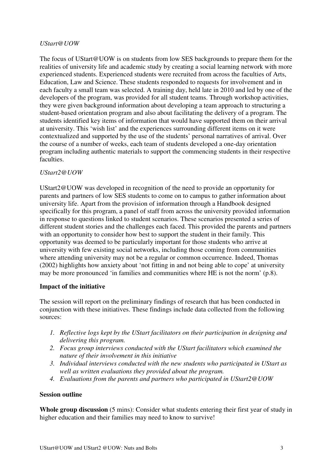## *UStart@UOW*

The focus of UStart@UOW is on students from low SES backgrounds to prepare them for the realities of university life and academic study by creating a social learning network with more experienced students. Experienced students were recruited from across the faculties of Arts, Education, Law and Science. These students responded to requests for involvement and in each faculty a small team was selected. A training day, held late in 2010 and led by one of the developers of the program, was provided for all student teams. Through workshop activities, they were given background information about developing a team approach to structuring a student-based orientation program and also about facilitating the delivery of a program. The students identified key items of information that would have supported them on their arrival at university. This 'wish list' and the experiences surrounding different items on it were contextualized and supported by the use of the students' personal narratives of arrival. Over the course of a number of weeks, each team of students developed a one-day orientation program including authentic materials to support the commencing students in their respective faculties.

## *UStart2@UOW*

UStart2@UOW was developed in recognition of the need to provide an opportunity for parents and partners of low SES students to come on to campus to gather information about university life. Apart from the provision of information through a Handbook designed specifically for this program, a panel of staff from across the university provided information in response to questions linked to student scenarios. These scenarios presented a series of different student stories and the challenges each faced. This provided the parents and partners with an opportunity to consider how best to support the student in their family. This opportunity was deemed to be particularly important for those students who arrive at university with few existing social networks, including those coming from communities where attending university may not be a regular or common occurrence. Indeed, Thomas (2002) highlights how anxiety about 'not fitting in and not being able to cope' at university may be more pronounced 'in families and communities where HE is not the norm' (p.8).

#### **Impact of the initiative**

The session will report on the preliminary findings of research that has been conducted in conjunction with these initiatives. These findings include data collected from the following sources:

- *1. Reflective logs kept by the UStart facilitators on their participation in designing and delivering this program.*
- *2. Focus group interviews conducted with the UStart facilitators which examined the nature of their involvement in this initiative*
- *3. Individual interviews conducted with the new students who participated in UStart as well as written evaluations they provided about the program.*
- *4. Evaluations from the parents and partners who participated in UStart2@UOW*

#### **Session outline**

**Whole group discussion** (5 mins): Consider what students entering their first year of study in higher education and their families may need to know to survive!